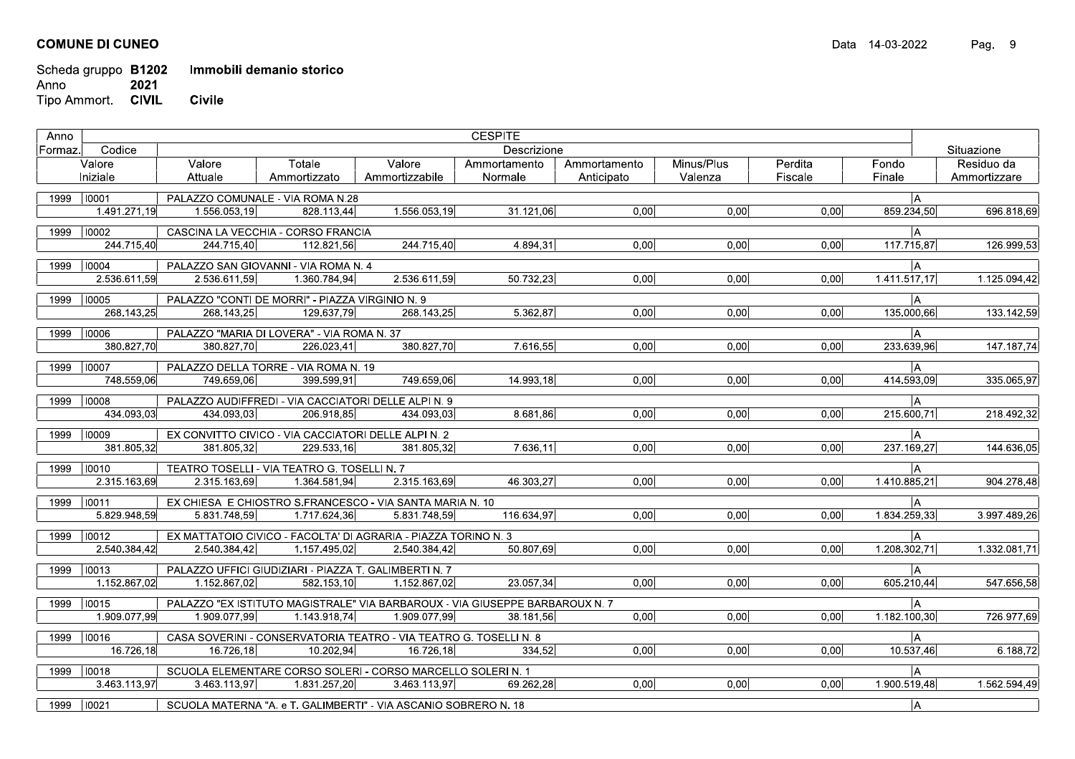## **COMUNE DI CUNEO**

Scheda gruppo B1202 Immobili demanio storico Anno 2021 Tipo Ammort. CIVIL Civile

| Situazione<br>Formaz.<br>Valore<br>Valore<br>Totale<br>Ammortamento<br>Minus/Plus<br>Perdita<br>Fondo<br>Residuo da<br>Valore<br>Ammortamento<br>Fiscale<br>Finale<br>Iniziale<br>Attuale<br>Ammortizzato<br>Ammortizzabile<br>Normale<br>Valenza<br>Ammortizzare<br>Anticipato<br> A <br>1999   10001<br>PALAZZO COMUNALE - VIA ROMA N.28<br>1.491.271.19<br>0.00 <sub>l</sub><br>0.00<br>0.00<br>1.556.053.19<br>1.556.053.19<br>31.121,06<br>859.234,50<br>696.818,69<br>828.113.44<br>1999<br>$ 10002\rangle$<br>CASCINA LA VECCHIA - CORSO FRANCIA<br>IА<br>0,00<br>244.715.40<br>244.715.40<br>244.715.40<br>4.894.31<br>0.00<br>0.00<br>117.715,87<br>126.999.53<br>112.821.56<br> 10004<br>1999<br>PALAZZO SAN GIOVANNI - VIA ROMA N. 4<br>IА.<br>2.536.611.59<br>2.536.611.59<br>1.360.784.94<br>2.536.611,59<br>50.732.23<br>0.00<br>0.00<br>0.00<br>1.411.517,17<br>1.125.094.42<br>PALAZZO "CONTI DE MORRI" - PIAZZA VIRGINIO N. 9<br> 10005 <br>ÌА<br>1999<br>268.143,25<br>268.143.25<br>129.637.79<br>268.143.25<br>5.362,87<br>0,00<br>0.00<br>0,00<br>135.000,66<br>133.142,59<br>1999   10006<br>PALAZZO "MARIA DI LOVERA" - VIA ROMA N. 37<br>IА<br>380.827,70<br>380.827,70<br>7.616,55<br>0,00<br>0,00<br>0,00<br>233.639,96<br>380.827,70<br>226.023,41<br>1999 10007<br>PALAZZO DELLA TORRE - VIA ROMA N. 19<br>IА<br>748.559,06<br>0,00<br>414.593,09<br>749.659.06<br>399.599.91<br>749.659.06<br>14.993,18<br>0.00<br>0.00<br> 10008<br>PALAZZO AUDIFFREDI - VIA CACCIATORI DELLE ALPI N. 9<br>ÌА<br>1999<br>$\overline{0,00}$<br>434.093,03<br>434.093,03<br>206.918,85<br>8.681,86<br>0,00<br>0,00<br>215.600,71<br>434.093.03<br>1999   10009<br> A <br>EX CONVITTO CIVICO - VIA CACCIATORI DELLE ALPI N. 2<br>7.636,11<br>0,00<br>0,00<br>381.805,32<br>381.805.32<br>229.533.16<br>381.805.32<br>0.00<br>237.169,27<br>1999   10010<br>TEATRO TOSELLI - VIA TEATRO G. TOSELLI N. 7<br> A<br>2.315.163,69<br>0,00<br>0,00<br>0,00<br>2.315.163,69<br>1.364.581,94<br>2.315.163,69<br>46.303.27<br>1.410.885,21<br>$\big  10011$<br>EX CHIESA E CHIOSTRO S.FRANCESCO - VIA SANTA MARIA N. 10<br>1999<br>IА.<br>5.829.948.59<br>116.634.97<br>0.00<br>0.00<br>0.00<br>1.834.259,33<br>5.831.748,59<br>1.717.624,36<br>5.831.748.59<br>$ 10012\rangle$<br>EX MATTATOIO CIVICO - FACOLTA' DI AGRARIA - PIAZZA TORINO N. 3<br>1999<br>IА.<br>0,00<br>2.540.384,42<br>2.540.384,42<br>1.157.495,02<br>50.807.69<br>0.00<br>0.00<br>1.208.302,71<br>2.540.384,42<br>$ 10013\rangle$<br>1999<br>PALAZZO UFFICI GIUDIZIARI - PIAZZA T. GALIMBERTI N. 7<br>IА<br>582.153,10<br>0.00 <sub>l</sub><br>0,00<br>1.152.867,02<br>1.152.867,02<br>23 057,34<br>0.00<br>605.210,44<br>1.152.867.02<br> 10015<br>PALAZZO "EX ISTITUTO MAGISTRALE" VIA BARBAROUX - VIA GIUSEPPE BARBAROUX N. 7<br>1999<br>IА<br>1.909.077.99<br>0.00 <sub>l</sub><br>0.00<br>1.182.100.30<br>1.909.077.99<br>1.143.918.74<br>1.909.077.99<br>0.00<br>38.181.56<br> 10016<br>CASA SOVERINI - CONSERVATORIA TEATRO - VIA TEATRO G. TOSELLI N. 8<br>ÌА<br>1999<br>16.726,18<br>16.726,18<br>10.202,94<br>16.726,18<br>334,52<br>0,00<br>0,00<br>10.537,46<br>0.00<br>1999 10018<br>SCUOLA ELEMENTARE CORSO SOLERI - CORSO MARCELLO SOLERI N. 1<br>ÌА.<br>$\overline{0,00}$<br>0,00<br>3.463.113,97<br>3.463.113,97<br>1.831.257,20<br>69.262,28<br>0,00<br>1.900.519,48<br>3.463.113.97<br>1999<br> 10021<br>SCUOLA MATERNA "A. e T. GALIMBERTI" - VIA ASCANIO SOBRERO N. 18<br> A | Anno |        | <b>CESPITE</b> |  |  |  |  |  |  |  |  |
|----------------------------------------------------------------------------------------------------------------------------------------------------------------------------------------------------------------------------------------------------------------------------------------------------------------------------------------------------------------------------------------------------------------------------------------------------------------------------------------------------------------------------------------------------------------------------------------------------------------------------------------------------------------------------------------------------------------------------------------------------------------------------------------------------------------------------------------------------------------------------------------------------------------------------------------------------------------------------------------------------------------------------------------------------------------------------------------------------------------------------------------------------------------------------------------------------------------------------------------------------------------------------------------------------------------------------------------------------------------------------------------------------------------------------------------------------------------------------------------------------------------------------------------------------------------------------------------------------------------------------------------------------------------------------------------------------------------------------------------------------------------------------------------------------------------------------------------------------------------------------------------------------------------------------------------------------------------------------------------------------------------------------------------------------------------------------------------------------------------------------------------------------------------------------------------------------------------------------------------------------------------------------------------------------------------------------------------------------------------------------------------------------------------------------------------------------------------------------------------------------------------------------------------------------------------------------------------------------------------------------------------------------------------------------------------------------------------------------------------------------------------------------------------------------------------------------------------------------------------------------------------------------------------------------------------------------------------------------------------------------------------------------------------------------------------------------------------------------------------------------------------------------------------------------------------------------------------------------------------------------------------------------------------------------------------------------------------------------------------------------------------------------------------------------------------------------------------------------|------|--------|----------------|--|--|--|--|--|--|--|--|
|                                                                                                                                                                                                                                                                                                                                                                                                                                                                                                                                                                                                                                                                                                                                                                                                                                                                                                                                                                                                                                                                                                                                                                                                                                                                                                                                                                                                                                                                                                                                                                                                                                                                                                                                                                                                                                                                                                                                                                                                                                                                                                                                                                                                                                                                                                                                                                                                                                                                                                                                                                                                                                                                                                                                                                                                                                                                                                                                                                                                                                                                                                                                                                                                                                                                                                                                                                                                                                                                            |      | Codice | Descrizione    |  |  |  |  |  |  |  |  |
|                                                                                                                                                                                                                                                                                                                                                                                                                                                                                                                                                                                                                                                                                                                                                                                                                                                                                                                                                                                                                                                                                                                                                                                                                                                                                                                                                                                                                                                                                                                                                                                                                                                                                                                                                                                                                                                                                                                                                                                                                                                                                                                                                                                                                                                                                                                                                                                                                                                                                                                                                                                                                                                                                                                                                                                                                                                                                                                                                                                                                                                                                                                                                                                                                                                                                                                                                                                                                                                                            |      |        |                |  |  |  |  |  |  |  |  |
|                                                                                                                                                                                                                                                                                                                                                                                                                                                                                                                                                                                                                                                                                                                                                                                                                                                                                                                                                                                                                                                                                                                                                                                                                                                                                                                                                                                                                                                                                                                                                                                                                                                                                                                                                                                                                                                                                                                                                                                                                                                                                                                                                                                                                                                                                                                                                                                                                                                                                                                                                                                                                                                                                                                                                                                                                                                                                                                                                                                                                                                                                                                                                                                                                                                                                                                                                                                                                                                                            |      |        |                |  |  |  |  |  |  |  |  |
|                                                                                                                                                                                                                                                                                                                                                                                                                                                                                                                                                                                                                                                                                                                                                                                                                                                                                                                                                                                                                                                                                                                                                                                                                                                                                                                                                                                                                                                                                                                                                                                                                                                                                                                                                                                                                                                                                                                                                                                                                                                                                                                                                                                                                                                                                                                                                                                                                                                                                                                                                                                                                                                                                                                                                                                                                                                                                                                                                                                                                                                                                                                                                                                                                                                                                                                                                                                                                                                                            |      |        |                |  |  |  |  |  |  |  |  |
|                                                                                                                                                                                                                                                                                                                                                                                                                                                                                                                                                                                                                                                                                                                                                                                                                                                                                                                                                                                                                                                                                                                                                                                                                                                                                                                                                                                                                                                                                                                                                                                                                                                                                                                                                                                                                                                                                                                                                                                                                                                                                                                                                                                                                                                                                                                                                                                                                                                                                                                                                                                                                                                                                                                                                                                                                                                                                                                                                                                                                                                                                                                                                                                                                                                                                                                                                                                                                                                                            |      |        |                |  |  |  |  |  |  |  |  |
|                                                                                                                                                                                                                                                                                                                                                                                                                                                                                                                                                                                                                                                                                                                                                                                                                                                                                                                                                                                                                                                                                                                                                                                                                                                                                                                                                                                                                                                                                                                                                                                                                                                                                                                                                                                                                                                                                                                                                                                                                                                                                                                                                                                                                                                                                                                                                                                                                                                                                                                                                                                                                                                                                                                                                                                                                                                                                                                                                                                                                                                                                                                                                                                                                                                                                                                                                                                                                                                                            |      |        |                |  |  |  |  |  |  |  |  |
|                                                                                                                                                                                                                                                                                                                                                                                                                                                                                                                                                                                                                                                                                                                                                                                                                                                                                                                                                                                                                                                                                                                                                                                                                                                                                                                                                                                                                                                                                                                                                                                                                                                                                                                                                                                                                                                                                                                                                                                                                                                                                                                                                                                                                                                                                                                                                                                                                                                                                                                                                                                                                                                                                                                                                                                                                                                                                                                                                                                                                                                                                                                                                                                                                                                                                                                                                                                                                                                                            |      |        |                |  |  |  |  |  |  |  |  |
|                                                                                                                                                                                                                                                                                                                                                                                                                                                                                                                                                                                                                                                                                                                                                                                                                                                                                                                                                                                                                                                                                                                                                                                                                                                                                                                                                                                                                                                                                                                                                                                                                                                                                                                                                                                                                                                                                                                                                                                                                                                                                                                                                                                                                                                                                                                                                                                                                                                                                                                                                                                                                                                                                                                                                                                                                                                                                                                                                                                                                                                                                                                                                                                                                                                                                                                                                                                                                                                                            |      |        |                |  |  |  |  |  |  |  |  |
|                                                                                                                                                                                                                                                                                                                                                                                                                                                                                                                                                                                                                                                                                                                                                                                                                                                                                                                                                                                                                                                                                                                                                                                                                                                                                                                                                                                                                                                                                                                                                                                                                                                                                                                                                                                                                                                                                                                                                                                                                                                                                                                                                                                                                                                                                                                                                                                                                                                                                                                                                                                                                                                                                                                                                                                                                                                                                                                                                                                                                                                                                                                                                                                                                                                                                                                                                                                                                                                                            |      |        |                |  |  |  |  |  |  |  |  |
|                                                                                                                                                                                                                                                                                                                                                                                                                                                                                                                                                                                                                                                                                                                                                                                                                                                                                                                                                                                                                                                                                                                                                                                                                                                                                                                                                                                                                                                                                                                                                                                                                                                                                                                                                                                                                                                                                                                                                                                                                                                                                                                                                                                                                                                                                                                                                                                                                                                                                                                                                                                                                                                                                                                                                                                                                                                                                                                                                                                                                                                                                                                                                                                                                                                                                                                                                                                                                                                                            |      |        |                |  |  |  |  |  |  |  |  |
|                                                                                                                                                                                                                                                                                                                                                                                                                                                                                                                                                                                                                                                                                                                                                                                                                                                                                                                                                                                                                                                                                                                                                                                                                                                                                                                                                                                                                                                                                                                                                                                                                                                                                                                                                                                                                                                                                                                                                                                                                                                                                                                                                                                                                                                                                                                                                                                                                                                                                                                                                                                                                                                                                                                                                                                                                                                                                                                                                                                                                                                                                                                                                                                                                                                                                                                                                                                                                                                                            |      |        |                |  |  |  |  |  |  |  |  |
|                                                                                                                                                                                                                                                                                                                                                                                                                                                                                                                                                                                                                                                                                                                                                                                                                                                                                                                                                                                                                                                                                                                                                                                                                                                                                                                                                                                                                                                                                                                                                                                                                                                                                                                                                                                                                                                                                                                                                                                                                                                                                                                                                                                                                                                                                                                                                                                                                                                                                                                                                                                                                                                                                                                                                                                                                                                                                                                                                                                                                                                                                                                                                                                                                                                                                                                                                                                                                                                                            |      |        |                |  |  |  |  |  |  |  |  |
| 147.187,74<br>335.065,97<br>218.492,32<br>144.636,05<br>904.278,48<br>3.997.489.26<br>1.332.081.71<br>547.656,58<br>726.977,69<br>6.188.72<br>1.562.594,49                                                                                                                                                                                                                                                                                                                                                                                                                                                                                                                                                                                                                                                                                                                                                                                                                                                                                                                                                                                                                                                                                                                                                                                                                                                                                                                                                                                                                                                                                                                                                                                                                                                                                                                                                                                                                                                                                                                                                                                                                                                                                                                                                                                                                                                                                                                                                                                                                                                                                                                                                                                                                                                                                                                                                                                                                                                                                                                                                                                                                                                                                                                                                                                                                                                                                                                 |      |        |                |  |  |  |  |  |  |  |  |
|                                                                                                                                                                                                                                                                                                                                                                                                                                                                                                                                                                                                                                                                                                                                                                                                                                                                                                                                                                                                                                                                                                                                                                                                                                                                                                                                                                                                                                                                                                                                                                                                                                                                                                                                                                                                                                                                                                                                                                                                                                                                                                                                                                                                                                                                                                                                                                                                                                                                                                                                                                                                                                                                                                                                                                                                                                                                                                                                                                                                                                                                                                                                                                                                                                                                                                                                                                                                                                                                            |      |        |                |  |  |  |  |  |  |  |  |
|                                                                                                                                                                                                                                                                                                                                                                                                                                                                                                                                                                                                                                                                                                                                                                                                                                                                                                                                                                                                                                                                                                                                                                                                                                                                                                                                                                                                                                                                                                                                                                                                                                                                                                                                                                                                                                                                                                                                                                                                                                                                                                                                                                                                                                                                                                                                                                                                                                                                                                                                                                                                                                                                                                                                                                                                                                                                                                                                                                                                                                                                                                                                                                                                                                                                                                                                                                                                                                                                            |      |        |                |  |  |  |  |  |  |  |  |
|                                                                                                                                                                                                                                                                                                                                                                                                                                                                                                                                                                                                                                                                                                                                                                                                                                                                                                                                                                                                                                                                                                                                                                                                                                                                                                                                                                                                                                                                                                                                                                                                                                                                                                                                                                                                                                                                                                                                                                                                                                                                                                                                                                                                                                                                                                                                                                                                                                                                                                                                                                                                                                                                                                                                                                                                                                                                                                                                                                                                                                                                                                                                                                                                                                                                                                                                                                                                                                                                            |      |        |                |  |  |  |  |  |  |  |  |
|                                                                                                                                                                                                                                                                                                                                                                                                                                                                                                                                                                                                                                                                                                                                                                                                                                                                                                                                                                                                                                                                                                                                                                                                                                                                                                                                                                                                                                                                                                                                                                                                                                                                                                                                                                                                                                                                                                                                                                                                                                                                                                                                                                                                                                                                                                                                                                                                                                                                                                                                                                                                                                                                                                                                                                                                                                                                                                                                                                                                                                                                                                                                                                                                                                                                                                                                                                                                                                                                            |      |        |                |  |  |  |  |  |  |  |  |
|                                                                                                                                                                                                                                                                                                                                                                                                                                                                                                                                                                                                                                                                                                                                                                                                                                                                                                                                                                                                                                                                                                                                                                                                                                                                                                                                                                                                                                                                                                                                                                                                                                                                                                                                                                                                                                                                                                                                                                                                                                                                                                                                                                                                                                                                                                                                                                                                                                                                                                                                                                                                                                                                                                                                                                                                                                                                                                                                                                                                                                                                                                                                                                                                                                                                                                                                                                                                                                                                            |      |        |                |  |  |  |  |  |  |  |  |
|                                                                                                                                                                                                                                                                                                                                                                                                                                                                                                                                                                                                                                                                                                                                                                                                                                                                                                                                                                                                                                                                                                                                                                                                                                                                                                                                                                                                                                                                                                                                                                                                                                                                                                                                                                                                                                                                                                                                                                                                                                                                                                                                                                                                                                                                                                                                                                                                                                                                                                                                                                                                                                                                                                                                                                                                                                                                                                                                                                                                                                                                                                                                                                                                                                                                                                                                                                                                                                                                            |      |        |                |  |  |  |  |  |  |  |  |
|                                                                                                                                                                                                                                                                                                                                                                                                                                                                                                                                                                                                                                                                                                                                                                                                                                                                                                                                                                                                                                                                                                                                                                                                                                                                                                                                                                                                                                                                                                                                                                                                                                                                                                                                                                                                                                                                                                                                                                                                                                                                                                                                                                                                                                                                                                                                                                                                                                                                                                                                                                                                                                                                                                                                                                                                                                                                                                                                                                                                                                                                                                                                                                                                                                                                                                                                                                                                                                                                            |      |        |                |  |  |  |  |  |  |  |  |
|                                                                                                                                                                                                                                                                                                                                                                                                                                                                                                                                                                                                                                                                                                                                                                                                                                                                                                                                                                                                                                                                                                                                                                                                                                                                                                                                                                                                                                                                                                                                                                                                                                                                                                                                                                                                                                                                                                                                                                                                                                                                                                                                                                                                                                                                                                                                                                                                                                                                                                                                                                                                                                                                                                                                                                                                                                                                                                                                                                                                                                                                                                                                                                                                                                                                                                                                                                                                                                                                            |      |        |                |  |  |  |  |  |  |  |  |
|                                                                                                                                                                                                                                                                                                                                                                                                                                                                                                                                                                                                                                                                                                                                                                                                                                                                                                                                                                                                                                                                                                                                                                                                                                                                                                                                                                                                                                                                                                                                                                                                                                                                                                                                                                                                                                                                                                                                                                                                                                                                                                                                                                                                                                                                                                                                                                                                                                                                                                                                                                                                                                                                                                                                                                                                                                                                                                                                                                                                                                                                                                                                                                                                                                                                                                                                                                                                                                                                            |      |        |                |  |  |  |  |  |  |  |  |
|                                                                                                                                                                                                                                                                                                                                                                                                                                                                                                                                                                                                                                                                                                                                                                                                                                                                                                                                                                                                                                                                                                                                                                                                                                                                                                                                                                                                                                                                                                                                                                                                                                                                                                                                                                                                                                                                                                                                                                                                                                                                                                                                                                                                                                                                                                                                                                                                                                                                                                                                                                                                                                                                                                                                                                                                                                                                                                                                                                                                                                                                                                                                                                                                                                                                                                                                                                                                                                                                            |      |        |                |  |  |  |  |  |  |  |  |
|                                                                                                                                                                                                                                                                                                                                                                                                                                                                                                                                                                                                                                                                                                                                                                                                                                                                                                                                                                                                                                                                                                                                                                                                                                                                                                                                                                                                                                                                                                                                                                                                                                                                                                                                                                                                                                                                                                                                                                                                                                                                                                                                                                                                                                                                                                                                                                                                                                                                                                                                                                                                                                                                                                                                                                                                                                                                                                                                                                                                                                                                                                                                                                                                                                                                                                                                                                                                                                                                            |      |        |                |  |  |  |  |  |  |  |  |
|                                                                                                                                                                                                                                                                                                                                                                                                                                                                                                                                                                                                                                                                                                                                                                                                                                                                                                                                                                                                                                                                                                                                                                                                                                                                                                                                                                                                                                                                                                                                                                                                                                                                                                                                                                                                                                                                                                                                                                                                                                                                                                                                                                                                                                                                                                                                                                                                                                                                                                                                                                                                                                                                                                                                                                                                                                                                                                                                                                                                                                                                                                                                                                                                                                                                                                                                                                                                                                                                            |      |        |                |  |  |  |  |  |  |  |  |
|                                                                                                                                                                                                                                                                                                                                                                                                                                                                                                                                                                                                                                                                                                                                                                                                                                                                                                                                                                                                                                                                                                                                                                                                                                                                                                                                                                                                                                                                                                                                                                                                                                                                                                                                                                                                                                                                                                                                                                                                                                                                                                                                                                                                                                                                                                                                                                                                                                                                                                                                                                                                                                                                                                                                                                                                                                                                                                                                                                                                                                                                                                                                                                                                                                                                                                                                                                                                                                                                            |      |        |                |  |  |  |  |  |  |  |  |
|                                                                                                                                                                                                                                                                                                                                                                                                                                                                                                                                                                                                                                                                                                                                                                                                                                                                                                                                                                                                                                                                                                                                                                                                                                                                                                                                                                                                                                                                                                                                                                                                                                                                                                                                                                                                                                                                                                                                                                                                                                                                                                                                                                                                                                                                                                                                                                                                                                                                                                                                                                                                                                                                                                                                                                                                                                                                                                                                                                                                                                                                                                                                                                                                                                                                                                                                                                                                                                                                            |      |        |                |  |  |  |  |  |  |  |  |
|                                                                                                                                                                                                                                                                                                                                                                                                                                                                                                                                                                                                                                                                                                                                                                                                                                                                                                                                                                                                                                                                                                                                                                                                                                                                                                                                                                                                                                                                                                                                                                                                                                                                                                                                                                                                                                                                                                                                                                                                                                                                                                                                                                                                                                                                                                                                                                                                                                                                                                                                                                                                                                                                                                                                                                                                                                                                                                                                                                                                                                                                                                                                                                                                                                                                                                                                                                                                                                                                            |      |        |                |  |  |  |  |  |  |  |  |
|                                                                                                                                                                                                                                                                                                                                                                                                                                                                                                                                                                                                                                                                                                                                                                                                                                                                                                                                                                                                                                                                                                                                                                                                                                                                                                                                                                                                                                                                                                                                                                                                                                                                                                                                                                                                                                                                                                                                                                                                                                                                                                                                                                                                                                                                                                                                                                                                                                                                                                                                                                                                                                                                                                                                                                                                                                                                                                                                                                                                                                                                                                                                                                                                                                                                                                                                                                                                                                                                            |      |        |                |  |  |  |  |  |  |  |  |
|                                                                                                                                                                                                                                                                                                                                                                                                                                                                                                                                                                                                                                                                                                                                                                                                                                                                                                                                                                                                                                                                                                                                                                                                                                                                                                                                                                                                                                                                                                                                                                                                                                                                                                                                                                                                                                                                                                                                                                                                                                                                                                                                                                                                                                                                                                                                                                                                                                                                                                                                                                                                                                                                                                                                                                                                                                                                                                                                                                                                                                                                                                                                                                                                                                                                                                                                                                                                                                                                            |      |        |                |  |  |  |  |  |  |  |  |
|                                                                                                                                                                                                                                                                                                                                                                                                                                                                                                                                                                                                                                                                                                                                                                                                                                                                                                                                                                                                                                                                                                                                                                                                                                                                                                                                                                                                                                                                                                                                                                                                                                                                                                                                                                                                                                                                                                                                                                                                                                                                                                                                                                                                                                                                                                                                                                                                                                                                                                                                                                                                                                                                                                                                                                                                                                                                                                                                                                                                                                                                                                                                                                                                                                                                                                                                                                                                                                                                            |      |        |                |  |  |  |  |  |  |  |  |
|                                                                                                                                                                                                                                                                                                                                                                                                                                                                                                                                                                                                                                                                                                                                                                                                                                                                                                                                                                                                                                                                                                                                                                                                                                                                                                                                                                                                                                                                                                                                                                                                                                                                                                                                                                                                                                                                                                                                                                                                                                                                                                                                                                                                                                                                                                                                                                                                                                                                                                                                                                                                                                                                                                                                                                                                                                                                                                                                                                                                                                                                                                                                                                                                                                                                                                                                                                                                                                                                            |      |        |                |  |  |  |  |  |  |  |  |
|                                                                                                                                                                                                                                                                                                                                                                                                                                                                                                                                                                                                                                                                                                                                                                                                                                                                                                                                                                                                                                                                                                                                                                                                                                                                                                                                                                                                                                                                                                                                                                                                                                                                                                                                                                                                                                                                                                                                                                                                                                                                                                                                                                                                                                                                                                                                                                                                                                                                                                                                                                                                                                                                                                                                                                                                                                                                                                                                                                                                                                                                                                                                                                                                                                                                                                                                                                                                                                                                            |      |        |                |  |  |  |  |  |  |  |  |
|                                                                                                                                                                                                                                                                                                                                                                                                                                                                                                                                                                                                                                                                                                                                                                                                                                                                                                                                                                                                                                                                                                                                                                                                                                                                                                                                                                                                                                                                                                                                                                                                                                                                                                                                                                                                                                                                                                                                                                                                                                                                                                                                                                                                                                                                                                                                                                                                                                                                                                                                                                                                                                                                                                                                                                                                                                                                                                                                                                                                                                                                                                                                                                                                                                                                                                                                                                                                                                                                            |      |        |                |  |  |  |  |  |  |  |  |
|                                                                                                                                                                                                                                                                                                                                                                                                                                                                                                                                                                                                                                                                                                                                                                                                                                                                                                                                                                                                                                                                                                                                                                                                                                                                                                                                                                                                                                                                                                                                                                                                                                                                                                                                                                                                                                                                                                                                                                                                                                                                                                                                                                                                                                                                                                                                                                                                                                                                                                                                                                                                                                                                                                                                                                                                                                                                                                                                                                                                                                                                                                                                                                                                                                                                                                                                                                                                                                                                            |      |        |                |  |  |  |  |  |  |  |  |
|                                                                                                                                                                                                                                                                                                                                                                                                                                                                                                                                                                                                                                                                                                                                                                                                                                                                                                                                                                                                                                                                                                                                                                                                                                                                                                                                                                                                                                                                                                                                                                                                                                                                                                                                                                                                                                                                                                                                                                                                                                                                                                                                                                                                                                                                                                                                                                                                                                                                                                                                                                                                                                                                                                                                                                                                                                                                                                                                                                                                                                                                                                                                                                                                                                                                                                                                                                                                                                                                            |      |        |                |  |  |  |  |  |  |  |  |
|                                                                                                                                                                                                                                                                                                                                                                                                                                                                                                                                                                                                                                                                                                                                                                                                                                                                                                                                                                                                                                                                                                                                                                                                                                                                                                                                                                                                                                                                                                                                                                                                                                                                                                                                                                                                                                                                                                                                                                                                                                                                                                                                                                                                                                                                                                                                                                                                                                                                                                                                                                                                                                                                                                                                                                                                                                                                                                                                                                                                                                                                                                                                                                                                                                                                                                                                                                                                                                                                            |      |        |                |  |  |  |  |  |  |  |  |
|                                                                                                                                                                                                                                                                                                                                                                                                                                                                                                                                                                                                                                                                                                                                                                                                                                                                                                                                                                                                                                                                                                                                                                                                                                                                                                                                                                                                                                                                                                                                                                                                                                                                                                                                                                                                                                                                                                                                                                                                                                                                                                                                                                                                                                                                                                                                                                                                                                                                                                                                                                                                                                                                                                                                                                                                                                                                                                                                                                                                                                                                                                                                                                                                                                                                                                                                                                                                                                                                            |      |        |                |  |  |  |  |  |  |  |  |
|                                                                                                                                                                                                                                                                                                                                                                                                                                                                                                                                                                                                                                                                                                                                                                                                                                                                                                                                                                                                                                                                                                                                                                                                                                                                                                                                                                                                                                                                                                                                                                                                                                                                                                                                                                                                                                                                                                                                                                                                                                                                                                                                                                                                                                                                                                                                                                                                                                                                                                                                                                                                                                                                                                                                                                                                                                                                                                                                                                                                                                                                                                                                                                                                                                                                                                                                                                                                                                                                            |      |        |                |  |  |  |  |  |  |  |  |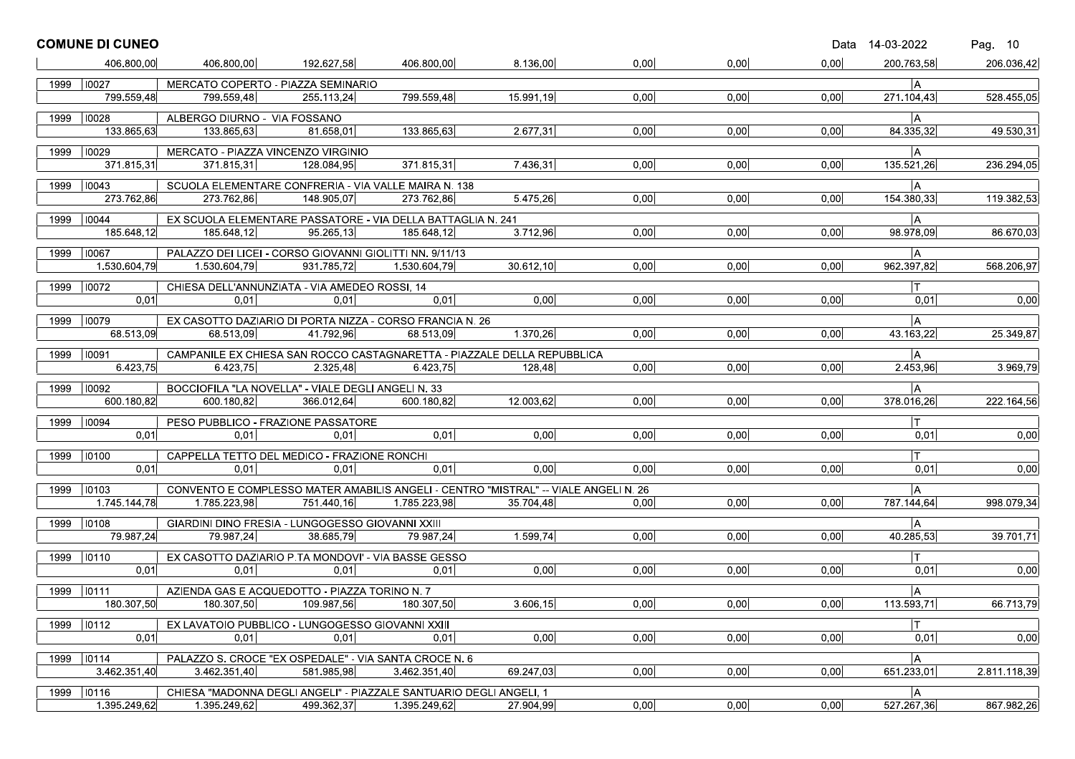|      | <b>COMUNE DI CUNEO</b> |                              |                                                                                     |              |           |      |      |      | Data 14-03-2022  | Pag. 10      |
|------|------------------------|------------------------------|-------------------------------------------------------------------------------------|--------------|-----------|------|------|------|------------------|--------------|
|      | 406.800.00             | 406.800,00                   | 192.627,58                                                                          | 406.800,00   | 8.136,00  | 0,00 | 0.00 | 0,00 | 200.763.58       | 206.036,42   |
|      | 1999   10027           |                              | MERCATO COPERTO - PIAZZA SEMINARIO                                                  |              |           |      |      |      | ۱A               |              |
|      | 799.559,48             | 799.559,48                   | 255.113.24                                                                          | 799.559.48   | 15.991,19 | 0,00 | 0,00 | 0,00 | 271.104,43       | 528.455,05   |
| 1999 | 10028                  | ALBERGO DIURNO - VIA FOSSANO |                                                                                     |              |           |      |      |      | l A              |              |
|      | 133.865,63             | 133.865,63                   | 81.658.01                                                                           | 133.865,63   | 2.677,31  | 0,00 | 0,00 | 0,00 | 84.335,32        | 49.530,31    |
|      | 1999 10029             |                              | MERCATO - PIAZZA VINCENZO VIRGINIO                                                  |              |           |      |      |      | A                |              |
|      | 371.815,31             | 371.815,31                   | 128.084,95                                                                          | 371.815.31   | 7.436,31  | 0,00 | 0,00 | 0,00 | 135.521,26       | 236.294,05   |
| 1999 | $ 10043\rangle$        |                              | SCUOLA ELEMENTARE CONFRERIA - VIA VALLE MAIRA N. 138                                |              |           |      |      |      | A                |              |
|      | 273.762,86             | 273.762,86                   | 148.905,07                                                                          | 273.762,86   | 5.475,26  | 0,00 | 0,00 | 0,00 | 154.380,33       | 119.382,53   |
|      | 1999   10044           |                              | EX SCUOLA ELEMENTARE PASSATORE - VIA DELLA BATTAGLIA N. 241                         |              |           |      |      |      | A                |              |
|      | 185.648,12             | 185.648.12                   | 95.265,13                                                                           | 185.648.12   | 3.712,96  | 0,00 | 0,00 | 0,00 | 98.978,09        | 86.670,03    |
|      | 1999   10067           |                              | PALAZZO DEI LICEI - CORSO GIOVANNI GIOLITTI NN. 9/11/13                             |              |           |      |      |      | A                |              |
|      | 1.530.604,79           | 1.530.604,79                 | 931.785,72                                                                          | 1.530.604.79 | 30.612,10 | 0,00 | 0,00 | 0,00 | 962.397,82       | 568.206,97   |
| 1999 | $ 10072\rangle$        |                              | CHIESA DELL'ANNUNZIATA - VIA AMEDEO ROSSI, 14                                       |              |           |      |      |      | IΤ               |              |
|      | 0.01                   | 0.01                         | 0.01                                                                                | 0.01         | 0,00      | 0,00 | 0,00 | 0,00 | 0,01             | 0,00         |
| 1999 | 10079                  |                              | EX CASOTTO DAZIARIO DI PORTA NIZZA - CORSO FRANCIA N. 26                            |              |           |      |      |      | A                |              |
|      | 68.513,09              | 68.513.09                    | 41.792,96                                                                           | 68.513.09    | 1.370.26  | 0.00 | 0,00 | 0,00 | 43.163,22        | 25.349,87    |
| 1999 | 10091                  |                              | CAMPANILE EX CHIESA SAN ROCCO CASTAGNARETTA - PIAZZALE DELLA REPUBBLICA             |              |           |      |      |      | A                |              |
|      | 6.423.75               | 6.423,75                     | 2.325.48                                                                            | 6.423,75     | 128.48    | 0,00 | 0,00 | 0,00 | 2.453,96         | 3.969,79     |
| 1999 | 0092                   |                              | BOCCIOFILA "LA NOVELLA" - VIALE DEGLI ANGELI N. 33                                  |              |           |      |      |      | lА               |              |
|      | 600.180,82             | 600.180,82                   | 366.012,64                                                                          | 600.180,82   | 12.003,62 | 0,00 | 0,00 | 0,00 | 378.016,26       | 222.164,56   |
| 1999 | 10094                  |                              | PESO PUBBLICO - FRAZIONE PASSATORE                                                  |              |           |      |      |      |                  |              |
|      | 0.01                   | 0,01                         | 0.01                                                                                | 0.01         | 0,00      | 0.00 | 0.00 | 0,00 | 0,01             | 0,00         |
| 1999 | 10100                  |                              | CAPPELLA TETTO DEL MEDICO - FRAZIONE RONCHI                                         |              |           |      |      |      |                  |              |
|      | 0.01                   | 0.01                         | 0.01                                                                                | 0.01         | 0.00      | 0.00 | 0,00 | 0,00 | 0,01             | 0,00         |
|      | 1999 10103             |                              | CONVENTO E COMPLESSO MATER AMABILIS ANGELI - CENTRO "MISTRAL" -- VIALE ANGELI N. 26 |              |           |      |      |      | A                |              |
|      | 1.745.144,78           | 1.785.223,98                 | 751.440,16                                                                          | 1.785.223,98 | 35.704,48 | 0,00 | 0,00 | 0,00 | 787.144,64       | 998.079,34   |
|      |                        |                              |                                                                                     |              |           |      |      |      |                  |              |
| 1999 | 10108<br>79.987,24     | 79.987,24                    | GIARDINI DINO FRESIA - LUNGOGESSO GIOVANNI XXIII<br>38.685,79                       | 79.987.24    | 1.599,74  | 0,00 | 0,00 | 0,00 | l A<br>40.285,53 | 39.701.71    |
|      |                        |                              |                                                                                     |              |           |      |      |      |                  |              |
|      | 1999 10110<br>0.01     | 0.01                         | EX CASOTTO DAZIARIO P.TA MONDOVI' - VIA BASSE GESSO<br>0.01                         | 0.01         | 0,00      | 0,00 | 0,00 | 0,00 | 0,01             | 0,00         |
|      |                        |                              |                                                                                     |              |           |      |      |      |                  |              |
| 1999 | 10111                  |                              | AZIENDA GAS E ACQUEDOTTO - PIAZZA TORINO N. 7                                       |              |           |      |      |      | A                |              |
|      | 180.307,50             | 180.307,50                   | 109.987,56                                                                          | 180.307,50   | 3.606, 15 | 0,00 | 0.00 | 0,00 | 113.593,71       | 66.713,79    |
| 1999 | 10112                  |                              | EX LAVATOIO PUBBLICO - LUNGOGESSO GIOVANNI XXIII                                    |              |           |      |      |      | $\mathsf T$      |              |
|      | 0,01                   | 0,01                         | 0,01                                                                                | 0,01         | 0,00      | 0,00 | 0,00 | 0,00 | 0,01             | 0,00         |
|      | 1999   10114           |                              | PALAZZO S. CROCE "EX OSPEDALE" - VIA SANTA CROCE N. 6                               |              |           |      |      |      | A                |              |
|      | 3.462.351,40           | 3.462.351,40                 | 581.985,98                                                                          | 3.462.351,40 | 69.247,03 | 0,00 | 0,00 | 0,00 | 651.233,01       | 2.811.118,39 |
| 1999 | 10116                  |                              | CHIESA "MADONNA DEGLI ANGELI" - PIAZZALE SANTUARIO DEGLI ANGELI. 1                  |              |           |      |      |      | A                |              |
|      | 1.395.249.62           | 1.395.249,62                 | 499.362,37                                                                          | 1.395.249,62 | 27.904,99 | 0,00 | 0,00 | 0,00 | 527.267,36       | 867.982,26   |